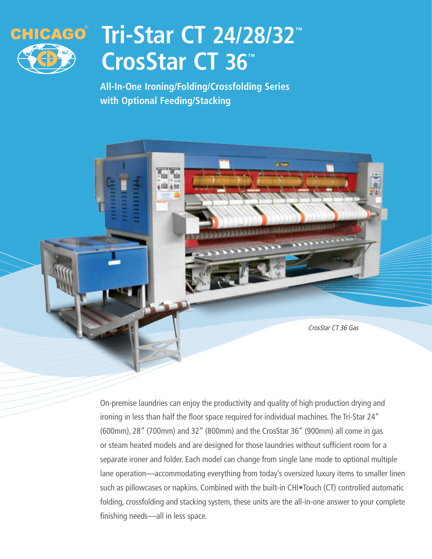

# **Tri-Star CT 24/28/32™ CrosStar CT 36™**

**All-In-One Ironing/Folding/Crossfolding Series with Optional Feeding/Stacking**



On-premise laundries can enjoy the productivity and quality of high production drying and ironing in less than half the floor space required for individual machines. The Tri-Star 24" (600mm), 28" (700mm) and 32" (800mm) and the CrosStar 36" (900mm) all come in gas or steam heated models and are designed for those laundries without sufficient room for a separate ironer and folder. Each model can change from single lane mode to optional multiple lane operation—accommodating everything from today's oversized luxury items to smaller linen such as pillowcases or napkins. Combined with the built-in CHI•Touch (CT) controlled automatic folding, crossfolding and stacking system, these units are the all-in-one answer to your complete finishing needs—all in less space.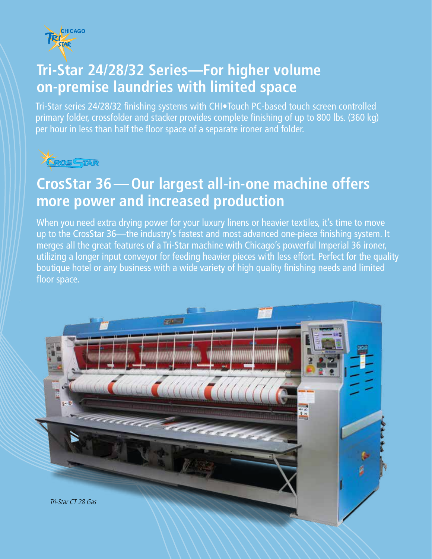![](_page_1_Picture_0.jpeg)

### **Tri-Star 24/28/32 Series—For higher volume on-premise laundries with limited space**

Tri-Star series 24/28/32 finishing systems with CHI•Touch PC-based touch screen controlled primary folder, crossfolder and stacker provides complete finishing of up to 800 lbs. (360 kg) per hour in less than half the floor space of a separate ironer and folder.

![](_page_1_Picture_3.jpeg)

### **CrosStar 36—Our largest all-in-one machine offers more power and increased production**

When you need extra drying power for your luxury linens or heavier textiles, it's time to move up to the CrosStar 36—the industry's fastest and most advanced one-piece finishing system. It merges all the great features of a Tri-Star machine with Chicago's powerful Imperial 36 ironer, utilizing a longer input conveyor for feeding heavier pieces with less effort. Perfect for the quality boutique hotel or any business with a wide variety of high quality finishing needs and limited floor space.

![](_page_1_Picture_6.jpeg)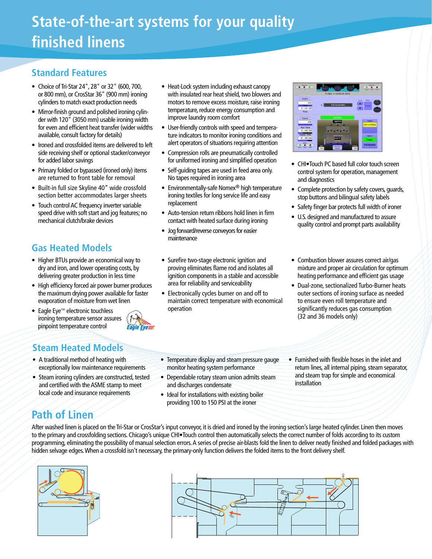# **State-of-the-art systems for your quality finished linens**

#### **Standard Features**

- Choice of Tri-Star 24", 28" or 32" (600, 700, or 800 mm), or CrosStar 36" (900 mm) ironing cylinders to match exact production needs
- Mirror-finish ground and polished ironing cylinder with 120" (3050 mm) usable ironing width for even and efficient heat transfer (wider widths available, consult factory for details)
- Ironed and crossfolded items are delivered to left side receiving shelf or optional stacker/conveyor for added labor savings
- Primary folded or bypassed (ironed only) items are returned to front table for removal
- Built-in full size Skyline 40" wide crossfold section better accommodates larger sheets
- Touch control AC frequency inverter variable speed drive with soft start and jog features; no mechanical clutch/brake devices

#### **Gas Heated Models**

- Higher BTUs provide an economical way to dry and iron, and lower operating costs, by delivering greater production in less time
- High efficiency forced air power burner produces the maximum drying power available for faster evaporation of moisture from wet linen
- Eagle Eye™ electronic touchless ironing temperature sensor assures pinpoint temperature control

#### **Steam Heated Models**

- A traditional method of heating with exceptionally low maintenance requirements
- Steam ironing cylinders are constructed, tested and certified with the ASME stamp to meet local code and insurance requirements
- Heat-Lock system including exhaust canopy with insulated rear heat shield, two blowers and motors to remove excess moisture, raise ironing temperature, reduce energy consumption and improve laundry room comfort
- User-friendly controls with speed and temperature indicators to monitor ironing conditions and alert operators of situations requiring attention
- Compression rolls are pneumatically controlled for uniformed ironing and simplified operation
- Self-guiding tapes are used in feed area only. No tapes required in ironing area
- Environmentally-safe Nomex® high temperature ironing textiles for long service life and easy replacement
- Auto-tension return ribbons hold linen in firm contact with heated surface during ironing
- Jog forward/reverse conveyors for easier maintenance
- Surefire two-stage electronic ignition and proving eliminates flame rod and isolates all ignition components in a stable and accessible area for reliability and serviceability
- Electronically cycles burner on and off to maintain correct temperature with economical operation

| ۰                               | 13343343019<br><b><i>Visit News</i></b> |
|---------------------------------|-----------------------------------------|
| <b>Cause</b><br>#TU<br>31128/38 | ■                                       |
| <b>Same</b><br>333              | ٠                                       |
| 18.193                          |                                         |
|                                 |                                         |

- CHI•Touch PC based full color touch screen control system for operation, management and diagnostics
- Complete protection by safety covers, guards, stop buttons and bilingual safety labels
- Safety finger bar protects full width of ironer
- U.S. designed and manufactured to assure quality control and prompt parts availability
- Combustion blower assures correct air/gas mixture and proper air circulation for optimum heating performance and efficient gas usage
- Dual-zone, sectionalized Turbo-Burner heats outer sections of ironing surface as needed to ensure even roll temperature and significantly reduces gas consumption (32 and 36 models only)
- Temperature display and steam pressure gauge monitor heating system performance
- Dependable rotary steam union admits steam and discharges condensate
- Ideal for installations with existing boiler providing 100 to 150 PSI at the ironer
- Furnished with flexible hoses in the inlet and return lines, all internal piping, steam separator, and steam trap for simple and economical installation

#### **Path of Linen**

After washed linen is placed on the Tri-Star or CrosStar's input conveyor, it is dried and ironed by the ironing section's large heated cylinder. Linen then moves to the primary and crossfolding sections. Chicago's unique CHI•Touch control then automatically selects the correct number of folds according to its custom programming, eliminating the possibility of manual selection errors. A series of precise air-blasts fold the linen to deliver neatly finished and folded packages with hidden selvage edges. When a crossfold isn't necessary, the primary-only function delivers the folded items to the front delivery shelf.

![](_page_2_Figure_37.jpeg)

![](_page_2_Figure_38.jpeg)

Eagle Eye=